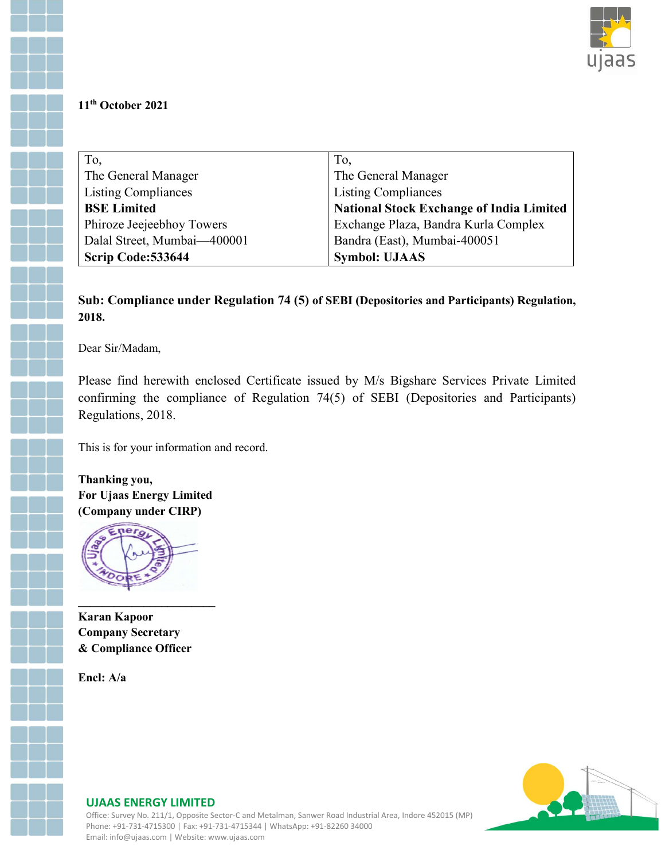

## 11th October 2021

| To,                         | To,                                             |
|-----------------------------|-------------------------------------------------|
| The General Manager         | The General Manager                             |
| <b>Listing Compliances</b>  | <b>Listing Compliances</b>                      |
| <b>BSE Limited</b>          | <b>National Stock Exchange of India Limited</b> |
| Phiroze Jeejeebhoy Towers   | Exchange Plaza, Bandra Kurla Complex            |
| Dalal Street, Mumbai-400001 | Bandra (East), Mumbai-400051                    |
| Scrip Code: 533644          | <b>Symbol: UJAAS</b>                            |

## Sub: Compliance under Regulation 74 (5) of SEBI (Depositories and Participants) Regulation, 2018.

Dear Sir/Madam,

Please find herewith enclosed Certificate issued by M/s Bigshare Services Private Limited confirming the compliance of Regulation 74(5) of SEBI (Depositories and Participants) Regulations, 2018.

This is for your information and record.

Thanking you, For Ujaas Energy Limited (Company under CIRP)



Karan Kapoor Company Secretary & Compliance Officer

Encl: A/a



## UJAAS ENERGY LIMITED

Office: Survey No. 211/1, Opposite Sector-C and Metalman, Sanwer Road Industrial Area, Indore 452015 (MP) Phone: +91-731-4715300 | Fax: +91-731-4715344 | WhatsApp: +91-82260 34000 Email: info@ujaas.com | Website: www.ujaas.com